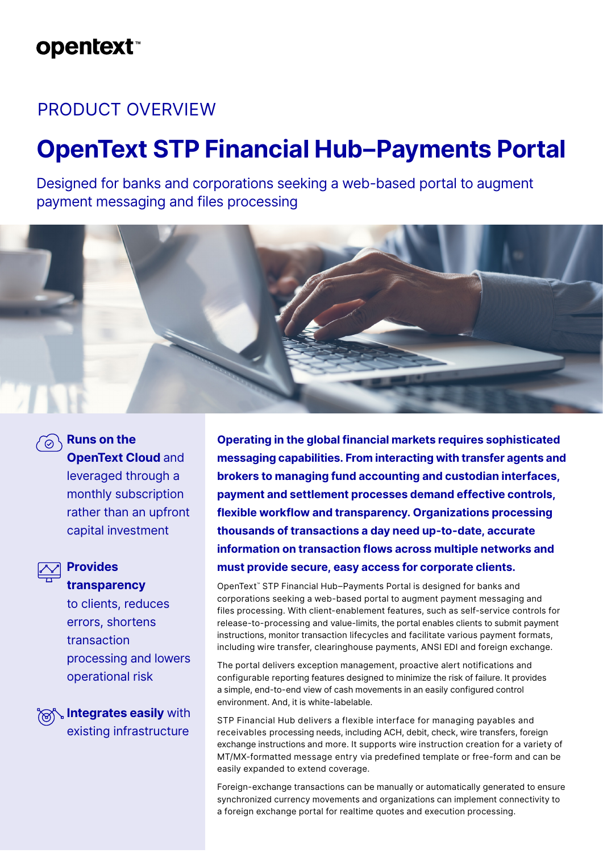# **opentext**™

## PRODUCT OVERVIEW

# **OpenText STP Financial Hub–Payments Portal**

Designed for banks and corporations seeking a web-based portal to augment payment messaging and files processing



 $\widehat{\circledcirc}$  **Runs on the OpenText Cloud and** leveraged through a monthly subscription rather than an upfront capital investment



## **Provides transparency**

to clients, reduces errors, shortens transaction processing and lowers operational risk

**Integrates easily** with existing infrastructure

**Operating in the global financial markets requires sophisticated messaging capabilities. From interacting with transfer agents and brokers to managing fund accounting and custodian interfaces, payment and settlement processes demand effective controls, flexible workflow and transparency. Organizations processing thousands of transactions a day need up-to-date, accurate information on transaction flows across multiple networks and must provide secure, easy access for corporate clients.**

OpenText™ STP Financial Hub–Payments Portal is designed for banks and corporations seeking a web-based portal to augment payment messaging and files processing. With client-enablement features, such as self-service controls for release-to-processing and value-limits, the portal enables clients to submit payment instructions, monitor transaction lifecycles and facilitate various payment formats, including wire transfer, clearinghouse payments, ANSI EDI and foreign exchange.

The portal delivers exception management, proactive alert notifications and configurable reporting features designed to minimize the risk of failure. It provides a simple, end-to-end view of cash movements in an easily configured control environment. And, it is white-labelable.

STP Financial Hub delivers a flexible interface for managing payables and receivables processing needs, including ACH, debit, check, wire transfers, foreign exchange instructions and more. It supports wire instruction creation for a variety of MT/MX-formatted message entry via predefined template or free-form and can be easily expanded to extend coverage.

Foreign-exchange transactions can be manually or automatically generated to ensure synchronized currency movements and organizations can implement connectivity to a foreign exchange portal for realtime quotes and execution processing.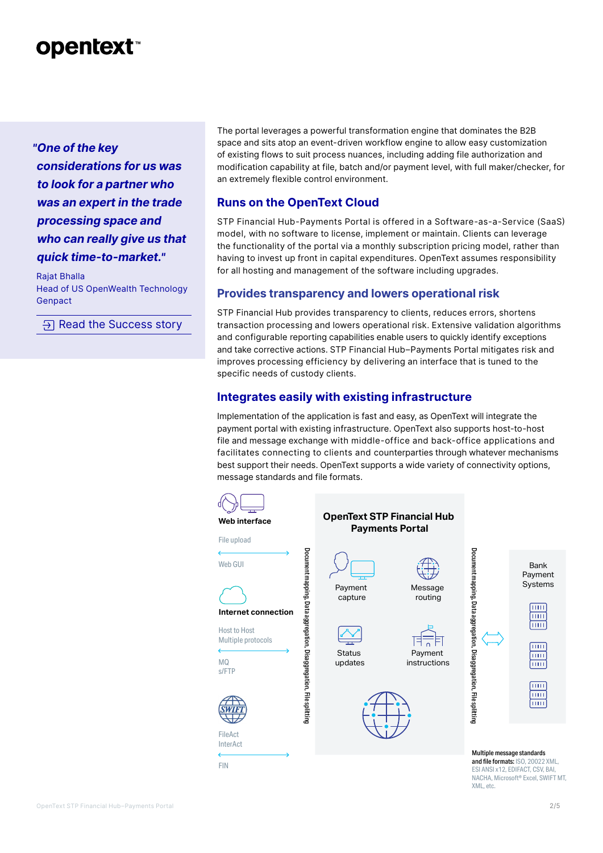# **opentext™**

*"One of the key considerations for us was to look for a partner who was an expert in the trade processing space and who can really give us that quick time-to-market."*

Rajat Bhalla Head of US OpenWealth Technology Genpact

 $\overline{P}$  [Read the Success story](https://www.opentext.com/customer-stories/customer-story-detail?id=1301)

The portal leverages a powerful transformation engine that dominates the B2B space and sits atop an event-driven workflow engine to allow easy customization of existing flows to suit process nuances, including adding file authorization and modification capability at file, batch and/or payment level, with full maker/checker, for an extremely flexible control environment.

## **Runs on the OpenText Cloud**

STP Financial Hub-Payments Portal is offered in a Software-as-a-Service (SaaS) model, with no software to license, implement or maintain. Clients can leverage the functionality of the portal via a monthly subscription pricing model, rather than having to invest up front in capital expenditures. OpenText assumes responsibility for all hosting and management of the software including upgrades.

## **Provides transparency and lowers operational risk**

STP Financial Hub provides transparency to clients, reduces errors, shortens transaction processing and lowers operational risk. Extensive validation algorithms and configurable reporting capabilities enable users to quickly identify exceptions and take corrective actions. STP Financial Hub–Payments Portal mitigates risk and improves processing efficiency by delivering an interface that is tuned to the specific needs of custody clients.

## **Integrates easily with existing infrastructure**

Implementation of the application is fast and easy, as OpenText will integrate the payment portal with existing infrastructure. OpenText also supports host-to-host file and message exchange with middle-office and back-office applications and facilitates connecting to clients and counterparties through whatever mechanisms best support their needs. OpenText supports a wide variety of connectivity options, message standards and file formats.



OpenText STP Financial Hub–Payments Portal 2/5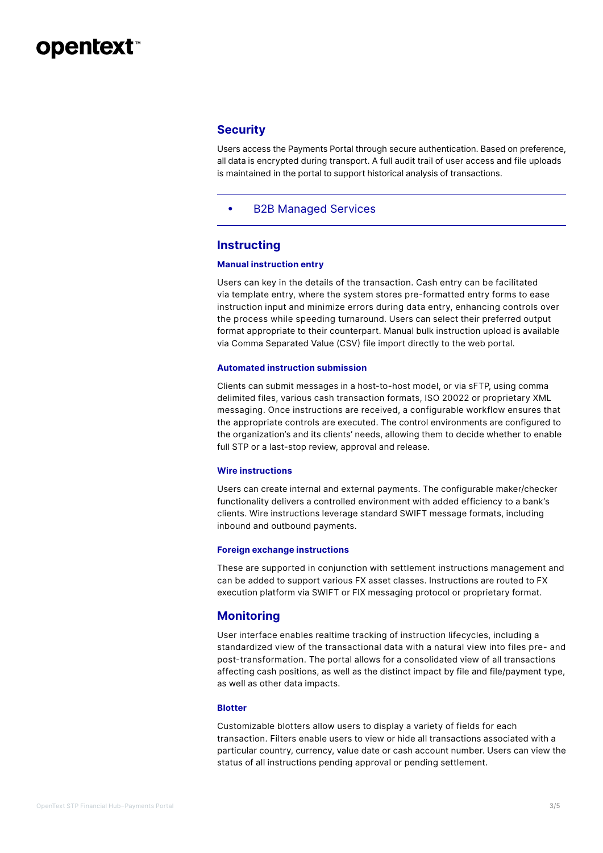# **opentext™**

## **Security**

Users access the Payments Portal through secure authentication. Based on preference, all data is encrypted during transport. A full audit trail of user access and file uploads is maintained in the portal to support historical analysis of transactions.

• B2B Managed Services

### **Instructing**

#### **Manual instruction entry**

Users can key in the details of the transaction. Cash entry can be facilitated via template entry, where the system stores pre-formatted entry forms to ease instruction input and minimize errors during data entry, enhancing controls over the process while speeding turnaround. Users can select their preferred output format appropriate to their counterpart. Manual bulk instruction upload is available via Comma Separated Value (CSV) file import directly to the web portal.

#### **Automated instruction submission**

Clients can submit messages in a host-to-host model, or via sFTP, using comma delimited files, various cash transaction formats, ISO 20022 or proprietary XML messaging. Once instructions are received, a configurable workflow ensures that the appropriate controls are executed. The control environments are configured to the organization's and its clients' needs, allowing them to decide whether to enable full STP or a last-stop review, approval and release.

#### **Wire instructions**

Users can create internal and external payments. The configurable maker/checker functionality delivers a controlled environment with added efficiency to a bank's clients. Wire instructions leverage standard SWIFT message formats, including inbound and outbound payments.

#### **Foreign exchange instructions**

These are supported in conjunction with settlement instructions management and can be added to support various FX asset classes. Instructions are routed to FX execution platform via SWIFT or FIX messaging protocol or proprietary format.

### **Monitoring**

User interface enables realtime tracking of instruction lifecycles, including a standardized view of the transactional data with a natural view into files pre- and post-transformation. The portal allows for a consolidated view of all transactions affecting cash positions, as well as the distinct impact by file and file/payment type, as well as other data impacts.

#### **Blotter**

Customizable blotters allow users to display a variety of fields for each transaction. Filters enable users to view or hide all transactions associated with a particular country, currency, value date or cash account number. Users can view the status of all instructions pending approval or pending settlement.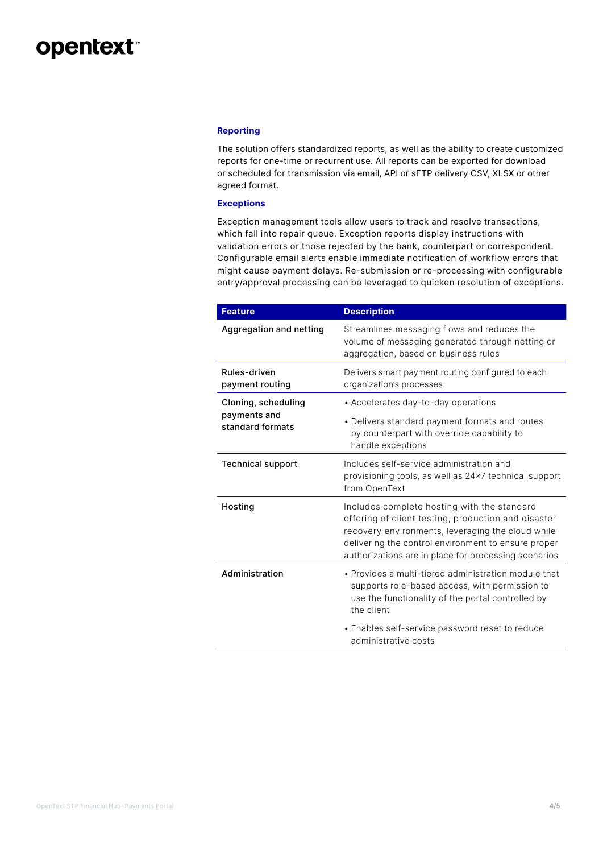# **opentext**

#### **Reporting**

The solution offers standardized reports, as well as the ability to create customized reports for one-time or recurrent use. All reports can be exported for download or scheduled for transmission via email, API or sFTP delivery CSV, XLSX or other agreed format.

#### **Exceptions**

Exception management tools allow users to track and resolve transactions, which fall into repair queue. Exception reports display instructions with validation errors or those rejected by the bank, counterpart or correspondent. Configurable email alerts enable immediate notification of workflow errors that might cause payment delays. Re-submission or re-processing with configurable entry/approval processing can be leveraged to quicken resolution of exceptions.

| <b>Feature</b>                                          | <b>Description</b>                                                                                                                                                                                                                                                     |  |  |  |  |  |  |
|---------------------------------------------------------|------------------------------------------------------------------------------------------------------------------------------------------------------------------------------------------------------------------------------------------------------------------------|--|--|--|--|--|--|
| Aggregation and netting                                 | Streamlines messaging flows and reduces the<br>volume of messaging generated through netting or<br>aggregation, based on business rules                                                                                                                                |  |  |  |  |  |  |
| Rules-driven<br>payment routing                         | Delivers smart payment routing configured to each<br>organization's processes                                                                                                                                                                                          |  |  |  |  |  |  |
| Cloning, scheduling<br>payments and<br>standard formats | • Accelerates day-to-day operations<br>• Delivers standard payment formats and routes<br>by counterpart with override capability to                                                                                                                                    |  |  |  |  |  |  |
|                                                         | handle exceptions                                                                                                                                                                                                                                                      |  |  |  |  |  |  |
| <b>Technical support</b>                                | Includes self-service administration and<br>provisioning tools, as well as 24×7 technical support<br>from OpenText                                                                                                                                                     |  |  |  |  |  |  |
| Hosting                                                 | Includes complete hosting with the standard<br>offering of client testing, production and disaster<br>recovery environments, leveraging the cloud while<br>delivering the control environment to ensure proper<br>authorizations are in place for processing scenarios |  |  |  |  |  |  |
| Administration                                          | • Provides a multi-tiered administration module that<br>supports role-based access, with permission to<br>use the functionality of the portal controlled by<br>the client                                                                                              |  |  |  |  |  |  |
|                                                         | • Enables self-service password reset to reduce<br>administrative costs                                                                                                                                                                                                |  |  |  |  |  |  |